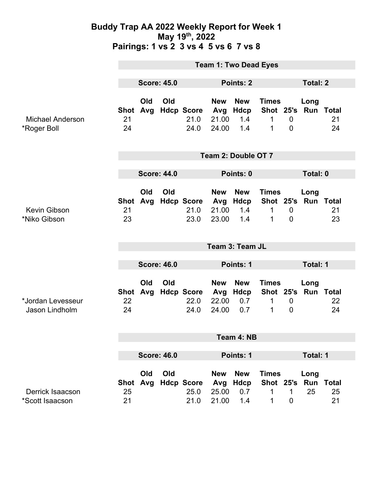### **Buddy Trap AA 2022 Weekly Report for Week 1 May 19th, 2022 Pairings: 1 vs 2 3 vs 4 5 vs 6 7 vs 8**

|                                        | <b>Team 1: Two Dead Eyes</b> |                 |     |                                       |                                     |                                         |                                                                   |                                    |                                |          |  |
|----------------------------------------|------------------------------|-----------------|-----|---------------------------------------|-------------------------------------|-----------------------------------------|-------------------------------------------------------------------|------------------------------------|--------------------------------|----------|--|
|                                        | <b>Score: 45.0</b>           |                 |     | <b>Points: 2</b>                      |                                     |                                         |                                                                   | <b>Total: 2</b>                    |                                |          |  |
| <b>Michael Anderson</b><br>*Roger Boll | Shot<br>21<br>24             | Old<br>Avg      | Old | <b>Hdcp Score</b><br>21.0<br>24.0     | <b>New</b><br>Avg<br>21.00<br>24.00 | <b>New</b><br>Hdcp<br>1.4<br>1.4        | <b>Times</b><br>Shot 25's Run Total<br>$\mathbf{1}$<br>1          | $\overline{0}$<br>$\mathbf 0$      | Long                           | 21<br>24 |  |
|                                        | Team 2: Double OT 7          |                 |     |                                       |                                     |                                         |                                                                   |                                    |                                |          |  |
|                                        | <b>Score: 44.0</b>           |                 |     |                                       | Points: 0                           |                                         |                                                                   |                                    | Total: 0                       |          |  |
| Kevin Gibson<br>*Niko Gibson           | 21<br>23                     | Old<br>Shot Avg | Old | <b>Hdcp Score</b><br>21.0<br>23.0     | <b>New</b><br>Avg<br>21.00<br>23.00 | <b>New</b><br>Hdcp<br>1.4<br>1.4        | <b>Times</b><br>Shot 25's Run Total<br>$\mathbf{1}$<br>1          | $\mathbf 0$<br>$\overline{0}$      | Long                           | 21<br>23 |  |
|                                        |                              |                 |     |                                       |                                     | Team 3: Team JL                         |                                                                   |                                    |                                |          |  |
|                                        | <b>Score: 46.0</b>           |                 |     |                                       | Points: 1                           |                                         |                                                                   |                                    | Total: 1                       |          |  |
| *Jordan Levesseur<br>Jason Lindholm    | <b>Shot</b><br>22<br>24      | Old<br>Avg      | Old | <b>Hdcp Score Avg</b><br>22.0<br>24.0 | <b>New</b><br>22.00<br>24.00        | <b>New</b><br>Hdcp<br>0.7<br>0.7        | <b>Times</b><br>Shot 25's Run Total<br>$\mathbf 1$<br>$\mathbf 1$ | $\boldsymbol{0}$<br>$\overline{0}$ | Long                           | 22<br>24 |  |
|                                        | Team 4: NB                   |                 |     |                                       |                                     |                                         |                                                                   |                                    |                                |          |  |
|                                        | <b>Score: 46.0</b>           |                 |     |                                       | <b>Points: 1</b>                    |                                         |                                                                   |                                    | <b>Total: 1</b>                |          |  |
| Derrick Isaacson<br>*Scott Isaacson    | <b>Shot</b><br>25<br>21      | Old<br>Avg      | Old | <b>Hdcp Score</b><br>25.0<br>21.0     | <b>New</b><br>Avg<br>25.00<br>21.00 | <b>New</b><br><b>Hdcp</b><br>0.7<br>1.4 | <b>Times</b><br><b>Shot 25's</b><br>1<br>1                        | 1<br>$\mathbf 0$                   | Long<br><b>Run Total</b><br>25 | 25<br>21 |  |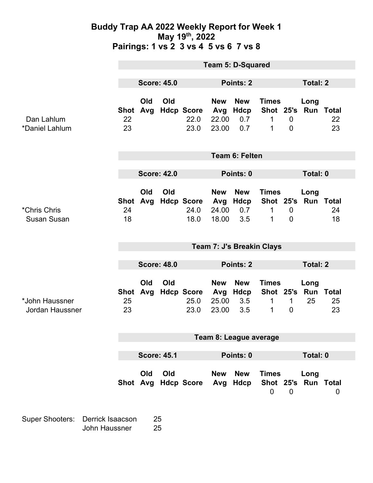### **Buddy Trap AA 2022 Weekly Report for Week 1 May 19th, 2022 Pairings: 1 vs 2 3 vs 4 5 vs 6 7 vs 8**

|                                          | <b>Team 5: D-Squared</b>  |            |           |                                   |                                     |                                  |                                               |                               |                             |                          |
|------------------------------------------|---------------------------|------------|-----------|-----------------------------------|-------------------------------------|----------------------------------|-----------------------------------------------|-------------------------------|-----------------------------|--------------------------|
|                                          | <b>Score: 45.0</b>        |            | Points: 2 |                                   |                                     |                                  | <b>Total: 2</b>                               |                               |                             |                          |
| Dan Lahlum<br>*Daniel Lahlum             | <b>Shot</b><br>22<br>23   | Old<br>Avg | Old       | <b>Hdcp Score</b><br>22.0<br>23.0 | <b>New</b><br>Avg<br>22.00<br>23.00 | <b>New</b><br>Hdcp<br>0.7<br>0.7 | <b>Times</b><br>Shot 25's Run Total<br>1<br>1 | $\mathbf 0$<br>$\overline{0}$ | Long                        | 22<br>23                 |
|                                          | <b>Team 6: Felten</b>     |            |           |                                   |                                     |                                  |                                               |                               |                             |                          |
|                                          | <b>Score: 42.0</b>        |            |           |                                   | Points: 0                           |                                  |                                               |                               | <b>Total: 0</b>             |                          |
| *Chris Chris<br><b>Susan Susan</b>       | <b>Shot</b><br>24<br>18   | Old<br>Avg | Old       | <b>Hdcp Score</b><br>24.0<br>18.0 | <b>New</b><br>Avg<br>24.00<br>18.00 | <b>New</b><br>Hdcp<br>0.7<br>3.5 | <b>Times</b><br>1<br>1                        | $\mathbf 0$<br>$\mathbf 0$    | Long<br>Shot 25's Run Total | 24<br>18                 |
|                                          | Team 7: J's Breakin Clays |            |           |                                   |                                     |                                  |                                               |                               |                             |                          |
|                                          | <b>Score: 48.0</b>        |            |           |                                   | Points: 2                           |                                  |                                               |                               | <b>Total: 2</b>             |                          |
|                                          |                           |            |           |                                   |                                     |                                  |                                               |                               |                             |                          |
| *John Haussner<br><b>Jordan Haussner</b> | <b>Shot</b><br>25<br>23   | Old<br>Avg | Old       | <b>Hdcp Score</b><br>25.0<br>23.0 | <b>New</b><br>Avg<br>25.00<br>23.00 | <b>New</b><br>Hdcp<br>3.5<br>3.5 | <b>Times</b><br>Shot 25's<br>1<br>1           | $\mathbf{1}$<br>$\mathbf 0$   | Long<br>Run<br>25           | <b>Total</b><br>25<br>23 |
|                                          | Team 8: League average    |            |           |                                   |                                     |                                  |                                               |                               |                             |                          |
|                                          | <b>Score: 45.1</b>        |            |           |                                   | Points: 0                           |                                  |                                               |                               | Total: 0                    |                          |
|                                          |                           | Old        | Old       | Shot Avg Hdcp Score Avg Hdcp      | <b>New</b>                          | <b>New</b>                       | <b>Times</b><br>$\mathbf 0$                   | $\mathbf 0$                   | Long<br>Shot 25's Run Total | $\mathbf 0$              |

Super Shooters: Derrick Isaacson 25 John Haussner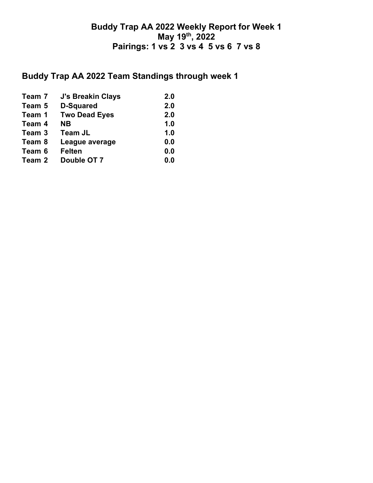## **Buddy Trap AA 2022 Weekly Report for Week 1 May 19th, 2022 Pairings: 1 vs 2 3 vs 4 5 vs 6 7 vs 8**

## **Buddy Trap AA 2022 Team Standings through week 1**

| Team 7 | <b>J's Breakin Clays</b> | 2.0 |
|--------|--------------------------|-----|
| Team 5 | <b>D-Squared</b>         | 2.0 |
| Team 1 | <b>Two Dead Eyes</b>     | 2.0 |
| Team 4 | NΒ                       | 1.0 |
| Team 3 | <b>Team JL</b>           | 1.0 |
| Team 8 | League average           | 0.0 |
| Team 6 | <b>Felten</b>            | 0.0 |
| Team 2 | Double OT 7              | 0.0 |